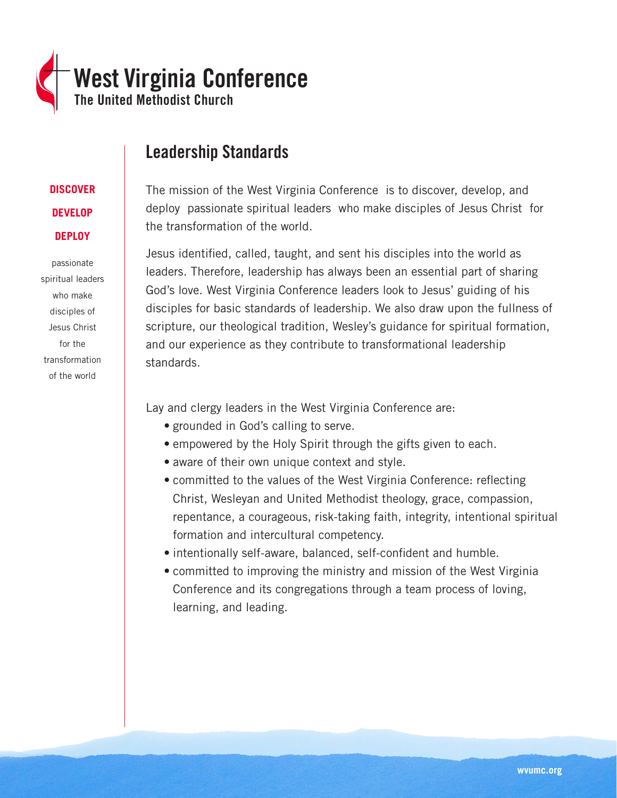

# Leadership Standards

# **DISCOVER DEVELOP DEPLOY**

passionate spiritual leaders who make disciples of Jesus Christ for the transformation of the world

The mission of the West Virginia Conference is to discover, develop, and deploy passionate spiritual leaders who make disciples of Jesus Christ for the transformation of the world.

Jesus identified, called, taught, and sent his disciples into the world as leaders. Therefore, leadership has always been an essential part of sharing God's love. West Virginia Conference leaders look to Jesus' guiding of his disciples for basic standards of leadership. We also draw upon the fullness of scripture, our theological tradition, Wesley's guidance for spiritual formation, and our experience as they contribute to transformational leadership standards.

Lay and clergy leaders in the West Virginia Conference are:

- grounded in God's calling to serve.
- empowered by the Holy Spirit through the gifts given to each.
- aware of their own unique context and style.
- committed to the values of the West Virginia Conference: reflecting Christ, Wesleyan and United Methodist theology, grace, compassion, repentance, a courageous, risk-taking faith, integrity, intentional spiritual formation and intercultural competency.
- intentionally self-aware, balanced, self-confident and humble.
- committed to improving the ministry and mission of the West Virginia Conference and its congregations through a team process of loving, learning, and leading.